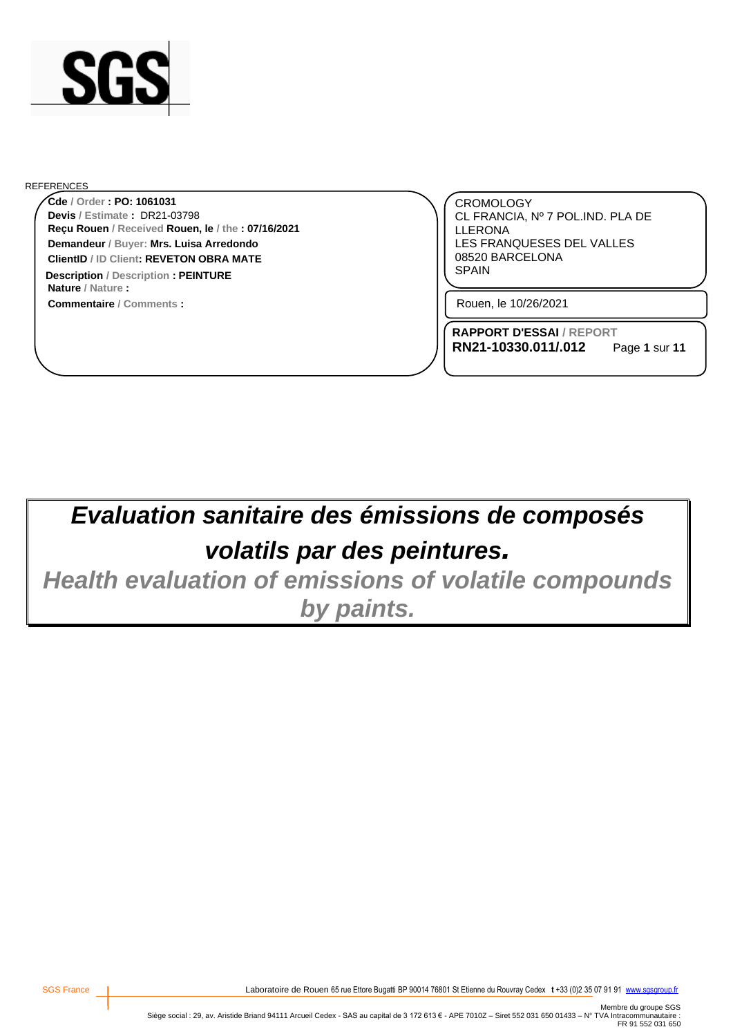

#### REFERENCES

**Reçu Rouen / Received Rouen, le / the : 07/16/2021 Cde / Order : PO: 1061031 Demandeur / Buyer: Mrs. Luisa Arredondo ClientID / ID Client: REVETON OBRA MATE Devis / Estimate :** DR21-03798

**Commentaire / Comments : Nature / Nature : Description** / Description **: PEINTURE EXECUTE: EXECUTE: EXECUTE: EXECUTE: EXECUTE: EXECUTE: EXECUTE: EXECUTE: EXECUTE: EXECUTE: EXECUTE: EXECUTE: EXECUTE: EXECUTE: EXECUTE: EXECUTE: EXEC** 

CROMOLOGY CL FRANCIA, Nº 7 POL.IND. PLA DE LLERONA LES FRANQUESES DEL VALLES 08520 BARCELONA

Rouen, le 10/26/2021

**RAPPORT D'ESSAI / REPORT RN21-10330.011/.012**

Page **1** sur **11**

# *Evaluation sanitaire des émissions de composés volatils par des peintures.*

*Health evaluation of emissions of volatile compounds by paints.*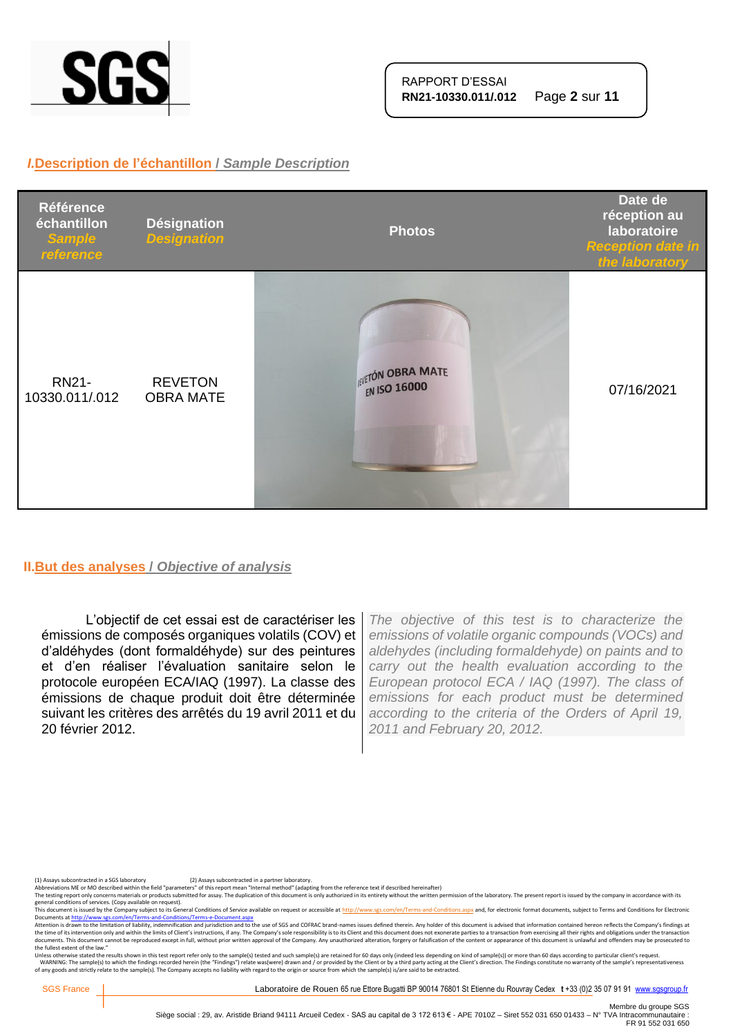

#### *I.***Description de l'échantillon /** *Sample Description*



#### **II.But des analyses /** *Objective of analysis*

L'objectif de cet essai est de caractériser les émissions de composés organiques volatils (COV) et d'aldéhydes (dont formaldéhyde) sur des peintures et d'en réaliser l'évaluation sanitaire selon le protocole européen ECA/IAQ (1997). La classe des émissions de chaque produit doit être déterminée suivant les critères des arrêtés du 19 avril 2011 et du 20 février 2012.

*The objective of this test is to characterize the emissions of volatile organic compounds (VOCs) and aldehydes (including formaldehyde) on paints and to carry out the health evaluation according to the European protocol ECA / IAQ (1997). The class of emissions for each product must be determined according to the criteria of the Orders of April 19, 2011 and February 20, 2012.*

(1) Assays subcontracted in a SGS laboratory (2) Assays subcontracted in a partner laboratory.<br>Abbreviations ME or MO described within the field "parameters" of this report mean "Internal method" (adapting from the referen

The testing report only concerns materials or products submitted for assay. The duplication of this document is only authorized in its entirety without the written permission of the laboratory. The present report is issued

general conditions of services. (Copy available on request).<br>This documents a fister of the Company subject to the Company subject to the Gompany subject to the School of<br>Documents at <u>http://www.ses.com/en/Terms-and-Condi</u> the fullest extent of the law."

Unless otherwise stated the results shown in this test report refer only to the sample(s) tested and such sample(s) are retained for 60 days only (indeed less depending on kind of sample(s)) or more than 60 days according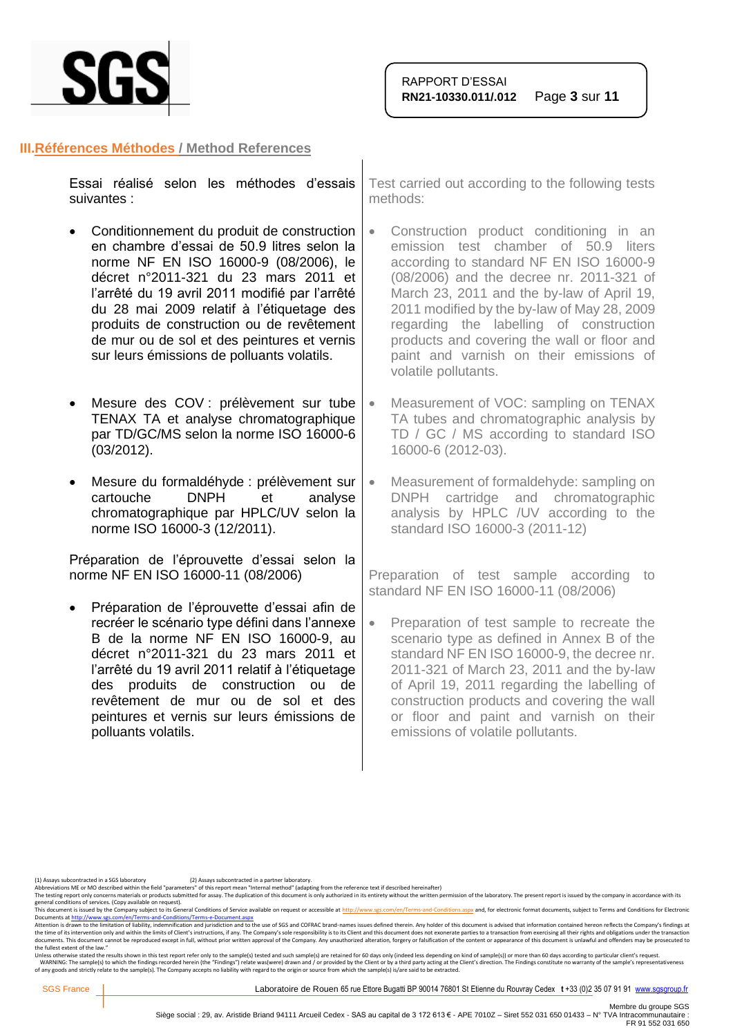

#### **III.Références Méthodes / Method References**

|             |  | Essai réalisé selon les méthodes d'essais   Test carried out according te |
|-------------|--|---------------------------------------------------------------------------|
| suivantes : |  | methods:                                                                  |
|             |  |                                                                           |

- Conditionnement du produit de construction en chambre d'essai de 50.9 litres selon la norme NF EN ISO 16000-9 (08/2006), le décret n°2011-321 du 23 mars 2011 et l'arrêté du 19 avril 2011 modifié par l'arrêté du 28 mai 2009 relatif à l'étiquetage des produits de construction ou de revêtement de mur ou de sol et des peintures et vernis sur leurs émissions de polluants volatils.
- Mesure des COV : prélèvement sur tube TENAX TA et analyse chromatographique par TD/GC/MS selon la norme ISO 16000-6 (03/2012).
- Mesure du formaldéhyde : prélèvement sur cartouche DNPH et analyse chromatographique par HPLC/UV selon la norme ISO 16000-3 (12/2011).

Préparation de l'éprouvette d'essai selon la norme NF EN ISO 16000-11 (08/2006)

• Préparation de l'éprouvette d'essai afin de recréer le scénario type défini dans l'annexe B de la norme NF EN ISO 16000-9, au décret n°2011-321 du 23 mars 2011 et l'arrêté du 19 avril 2011 relatif à l'étiquetage des produits de construction ou de revêtement de mur ou de sol et des peintures et vernis sur leurs émissions de polluants volatils.

to the following tests

- Construction product conditioning in an emission test chamber of 50.9 liters according to standard NF EN ISO 16000-9 (08/2006) and the decree nr. 2011-321 of March 23, 2011 and the by-law of April 19, 2011 modified by the by-law of May 28, 2009 regarding the labelling of construction products and covering the wall or floor and paint and varnish on their emissions of volatile pollutants.
- Measurement of VOC: sampling on TENAX TA tubes and chromatographic analysis by TD / GC / MS according to standard ISO 16000-6 (2012-03).
- Measurement of formaldehyde: sampling on DNPH cartridge and chromatographic analysis by HPLC /UV according to the standard ISO 16000-3 (2011-12)

Preparation of test sample according to standard NF EN ISO 16000-11 (08/2006)

• Preparation of test sample to recreate the scenario type as defined in Annex B of the standard NF EN ISO 16000-9, the decree nr. 2011-321 of March 23, 2011 and the by-law of April 19, 2011 regarding the labelling of construction products and covering the wall or floor and paint and varnish on their emissions of volatile pollutants.

(1) Assays subcontracted in a SGS laboratory (2) Assays subcontracted in a partner laboratory.<br>Abbreviations ME or MO described within the field "parameters" of this report mean "Internal method" (adapting from the referen

The testing report only concerns materials or products submitted for assay. The duplication of this document is only authorized in its entirety without the written permission of the laboratory. The present report is issued

general conditions of services. (Copy available on request).<br>This document is issued by the Company subject to its General Conditions of Service available on request or accessible at <u>http://www.sgs.com/en/Terms-and-Condit</u>

Attention is drawn to the limitation of liability, indemnification and jurisdiction and to the use of SGS and COFRAC brand-names issues defined therein. Any holder of this document is advised that information contained her the fullest extent of the law."

Unless otherwise stated the results shown in this test report refer only to the sample(s) tested and such sample(s) are retained for 60 days only (indeed less depending on kind of sample(s)) or more than 60 days according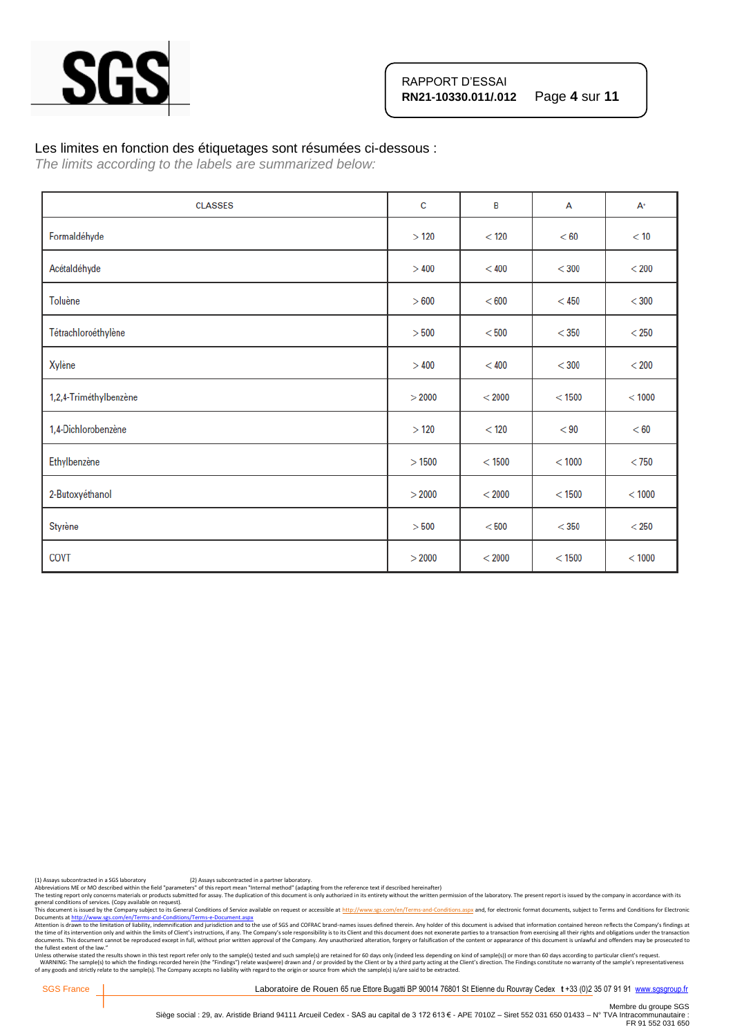

#### Les limites en fonction des étiquetages sont résumées ci-dessous :

*The limits according to the labels are summarized below:*

| <b>CLASSES</b>         | c      | B        | A        | $A^+$   |
|------------------------|--------|----------|----------|---------|
| Formaldéhyde           | >120   | $<$ 120  | < 60     | < 10    |
| Acétaldéhyde           | >400   | < 400    | $<$ 300  | $<$ 200 |
| Toluène                | > 600  | < 600    | $<$ 450  | $<$ 300 |
| Tétrachloroéthylène    | > 500  | < 500    | $<$ 350  | $<$ 250 |
| Xylène                 | >400   | < 400    | $<$ 300  | $<$ 200 |
| 1,2,4-Triméthylbenzène | > 2000 | < 2000   | $<$ 1500 | < 1000  |
| 1,4-Dichlorobenzène    | >120   | < 120    | < 90     | < 60    |
| Ethylbenzène           | >1500  | $<$ 1500 | < 1000   | $<$ 750 |
| 2-Butoxyéthanol        | > 2000 | < 2000   | < 1500   | < 1000  |
| Styrène                | > 500  | < 500    | $<$ 350  | $<$ 250 |
| COVT                   | > 2000 | < 2000   | < 1500   | < 1000  |

(1) Assays subcontracted in a SGS laboratory (2) Assays subcontracted in a partner laboratory.<br>Abbreviations ME or MO described within the field "parameters" of this report mean "Internal method" (adapting from the referen

Abbreviations ME or MO described within the neid "parameters" or this report intent intention of this document is only outhorized in its entirety without the written permission of the laboratory. The present report is issu

general conditions of services. (Copy available on request).<br>This documents a fister of the Company subject to the Company subject to the Gompany subject to the School of<br>Documents at <u>http://www.ses.com/en/Terms-and-Condi</u> the fullest extent of the law."

Unless otherwise stated the results shown in this test report refer only to the sample(s) tested and such sample(s) are retained for 60 days only (indeed less depending on kind of sample(s)) or more than 60 days according

SGS France | Laboratoire de Rouen 65 rue Ettore Bugatti BP 90014 76801 St Etienne du Rouvray Cedex t +33 (0)2 35 07 91 91 [www.sgsgroup.fr](http://www.sgsgroup.fr/)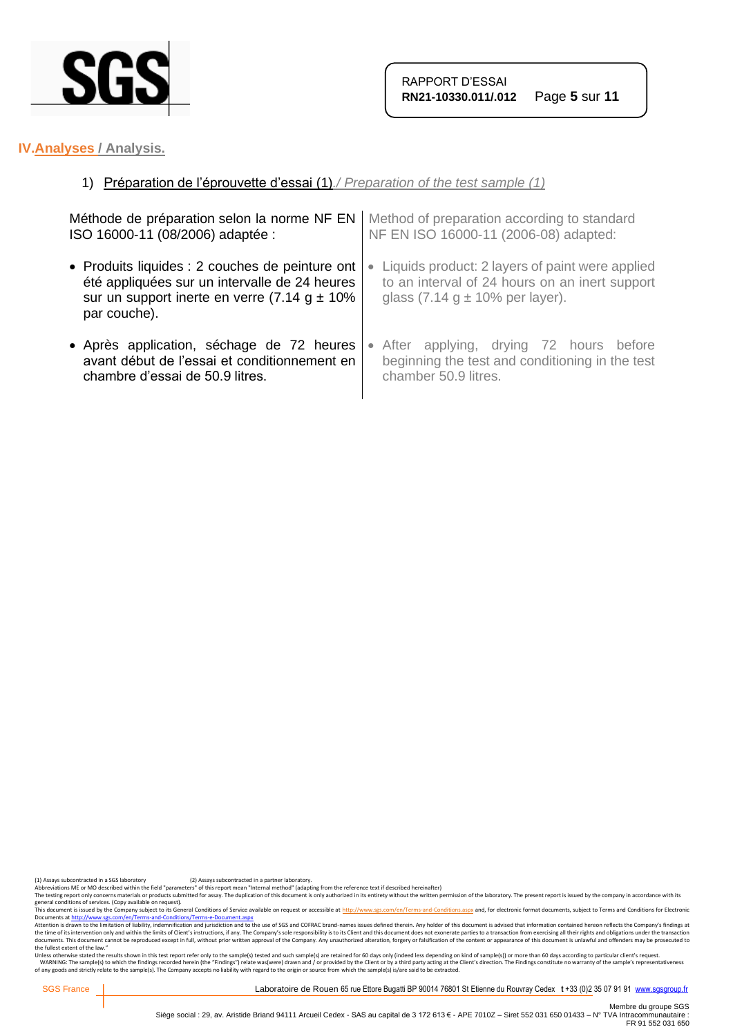

## **IV.Analyses / Analysis.**

## 1) Préparation de l'éprouvette d'essai (1)*./ Preparation of the test sample (1)*

| Méthode de préparation selon la norme NF EN        | Method of preparation according to standard     |  |
|----------------------------------------------------|-------------------------------------------------|--|
| ISO 16000-11 (08/2006) adaptée :                   | NF EN ISO 16000-11 (2006-08) adapted:           |  |
| • Produits liquides : 2 couches de peinture ont    | Liquids product: 2 layers of paint were applied |  |
| été appliquées sur un intervalle de 24 heures      | $\bullet$                                       |  |
| sur un support inerte en verre $(7.14 g \pm 10\%)$ | to an interval of 24 hours on an inert support  |  |
| par couche).                                       | glass $(7.14 g \pm 10\%$ per layer).            |  |
| • Après application, séchage de 72 heures          | • After applying, drying 72 hours before        |  |
| avant début de l'essai et conditionnement en       | beginning the test and conditioning in the test |  |
| chambre d'essai de 50.9 litres.                    | chamber 50.9 litres.                            |  |

(1) Assays subcontracted in a SGS laboratory (2) Assays subcontracted in a partner laboratory.<br>Abbreviations ME or MO described within the field "parameters" of this report mean "Internal method" (adapting from the referen

Abbrevations ML or MU described with the held "parameters" of this report mean "internal methor" ledapting from the reference text if elescibed meremalter) without the written permistion of the laboratory. The present repo

general conditions of services. (Copy available on request).<br>This documents a fister of the Company subject to the Company subject to the Gompany subject to the School of<br>Documents at <u>http://www.ses.com/en/Terms-and-Condi</u> the fullest extent of the law."

Unless otherwise stated the results shown in this test report refer only to the sample(s) tested and such sample(s) are retained for 60 days only (indeed less depending on kind of sample(s)) or more than 60 days according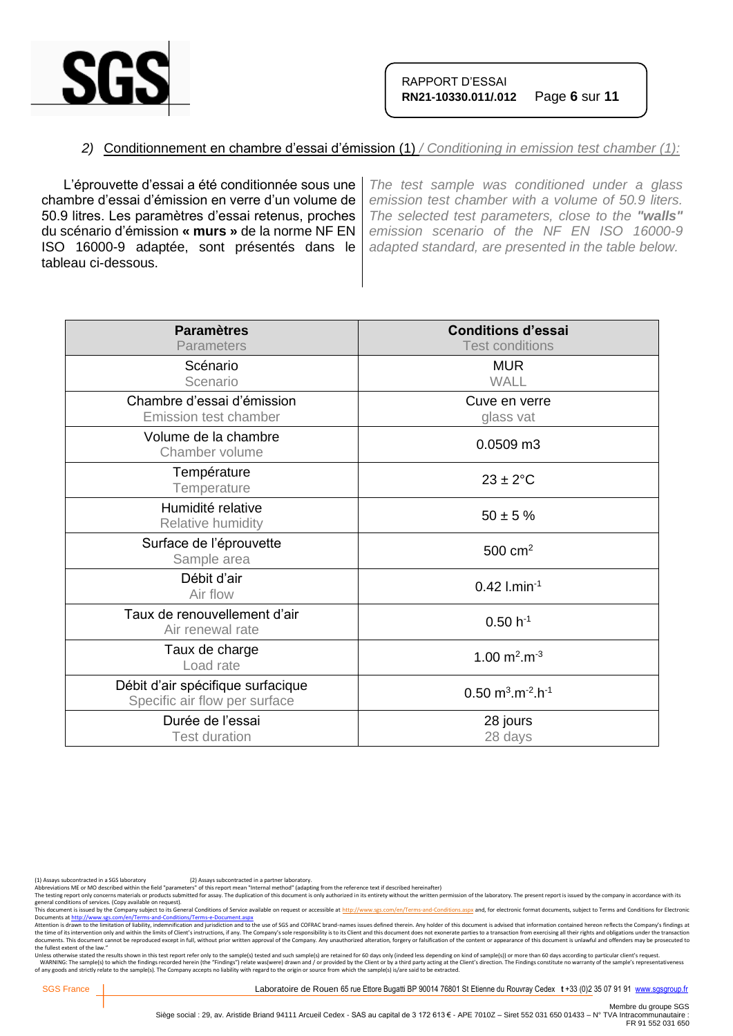

#### *2)* Conditionnement en chambre d'essai d'émission (1) */ Conditioning in emission test chamber (1):*

L'éprouvette d'essai a été conditionnée sous une chambre d'essai d'émission en verre d'un volume de 50.9 litres. Les paramètres d'essai retenus, proches du scénario d'émission **« murs »** de la norme NF EN ISO 16000-9 adaptée, sont présentés dans le tableau ci-dessous.

*The test sample was conditioned under a glass emission test chamber with a volume of 50.9 liters. The selected test parameters, close to the "walls" emission scenario of the NF EN ISO 16000-9 adapted standard, are presented in the table below.*

| <b>Paramètres</b><br>Parameters                                    | <b>Conditions d'essai</b><br><b>Test conditions</b>        |
|--------------------------------------------------------------------|------------------------------------------------------------|
| Scénario<br>Scenario                                               | <b>MUR</b><br><b>WALL</b>                                  |
| Chambre d'essai d'émission<br>Emission test chamber                | Cuve en verre<br>glass vat                                 |
| Volume de la chambre<br>Chamber volume                             | 0.0509 m3                                                  |
| Température<br>Temperature                                         | $23 \pm 2$ °C                                              |
| Humidité relative<br>Relative humidity                             | $50 \pm 5 \%$                                              |
| Surface de l'éprouvette<br>Sample area                             | $500 \text{ cm}^2$                                         |
| Débit d'air<br>Air flow                                            | $0.42$ l.min <sup>-1</sup>                                 |
| Taux de renouvellement d'air<br>Air renewal rate                   | $0.50 h^{-1}$                                              |
| Taux de charge<br>Load rate                                        | 1.00 $m^2.m^{-3}$                                          |
| Débit d'air spécifique surfacique<br>Specific air flow per surface | $0.50 \text{ m}^3 \cdot \text{m}^{-2} \cdot \text{h}^{-1}$ |
| Durée de l'essai<br><b>Test duration</b>                           | 28 jours<br>28 days                                        |

(1) Assays subcontracted in a SGS laboratory (2) Assays subcontracted in a partner laboratory.<br>Abbreviations ME or MO described within the field "parameters" of this report mean "Internal method" (adapting from the referen

The testing report only concerns materials or products submitted for assay. The duplication of this document is only authorized in its entirety without the written permission of the laboratory. The present report is issued

general conditions of services. (Copy available on request).<br>This documents a fister of the Company subject to the Company subject to the Gompany subject to the School of<br>Documents at <u>http://www.ses.com/en/Terms-and-Condi</u> the fullest extent of the law."

Unless otherwise stated the results shown in this test report refer only to the sample(s) tested and such sample(s) are retained for 60 days only (indeed less depending on kind of sample(s)) or more than 60 days according

SGS France | Laboratoire de Rouen 65 rue Ettore Bugatti BP 90014 76801 St Etienne du Rouvray Cedex t +33 (0)2 35 07 91 91 [www.sgsgroup.fr](http://www.sgsgroup.fr/)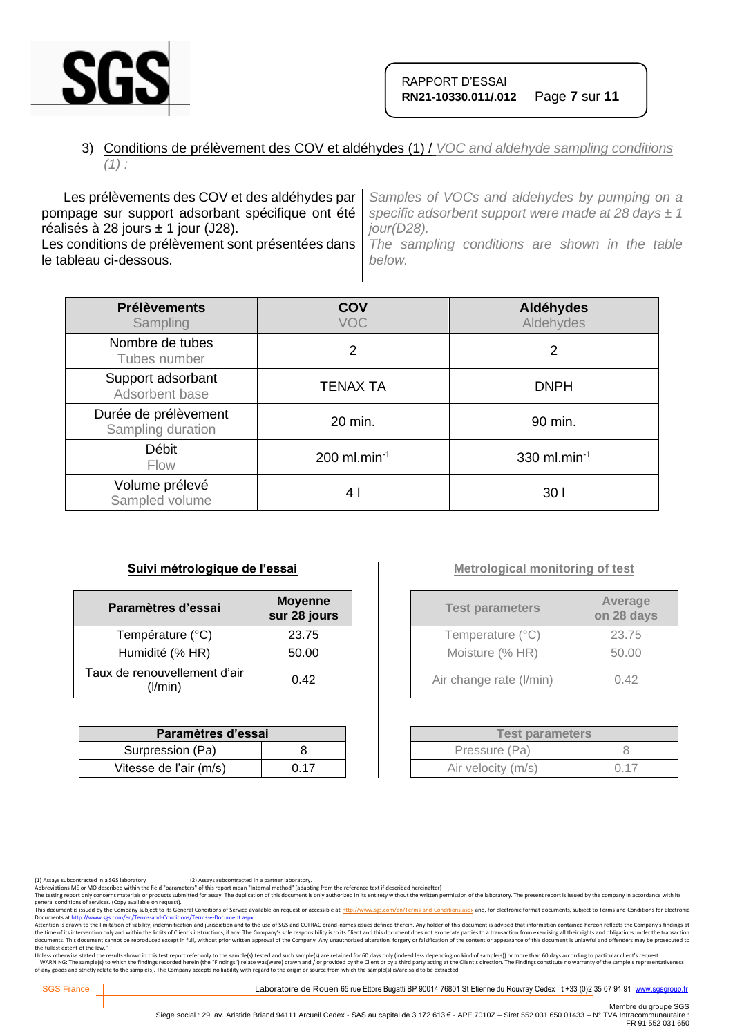

## 3) Conditions de prélèvement des COV et aldéhydes (1) / *VOC and aldehyde sampling conditions (1) :*

Les prélèvements des COV et des aldéhydes par pompage sur support adsorbant spécifique ont été réalisés à 28 jours  $\pm$  1 jour (J28). Les conditions de prélèvement sont présentées dans le tableau ci-dessous. *Samples of VOCs and aldehydes by pumping on a specific adsorbent support were made at 28 days ± 1 jour(D28). The sampling conditions are shown in the table below.*

| <b>Prélèvements</b><br>Sampling           | COV<br><b>VOC</b>          | Aldéhydes<br>Aldehydes |
|-------------------------------------------|----------------------------|------------------------|
| Nombre de tubes<br>Tubes number           | 2                          | 2                      |
| Support adsorbant<br>Adsorbent base       | <b>TENAX TA</b>            | <b>DNPH</b>            |
| Durée de prélèvement<br>Sampling duration | 20 min.                    | 90 min.                |
| <b>Débit</b><br>Flow                      | $200$ ml.min <sup>-1</sup> | 330 ml.min $^{-1}$     |
| Volume prélevé<br>Sampled volume          | 4 I                        | 30 <sub>1</sub>        |

#### **Suivi métrologique de l'essai**

| Paramètres d'essai                      | <b>Moyenne</b><br>sur 28 jours |
|-----------------------------------------|--------------------------------|
| Température (°C)                        | 23.75                          |
| Humidité (% HR)                         | 50.00                          |
| Taux de renouvellement d'air<br>(1/min) | 0.42                           |

| Paramètres d'essai     |      |  |
|------------------------|------|--|
| Surpression (Pa)       |      |  |
| Vitesse de l'air (m/s) | 0.17 |  |

## **Metrological monitoring of test**

| <b>Test parameters</b>  | Average<br>on 28 days |
|-------------------------|-----------------------|
| Temperature (°C)        | 23.75                 |
| Moisture (% HR)         | 50.00                 |
| Air change rate (I/min) | 0.42                  |

| <b>Test parameters</b> |      |  |
|------------------------|------|--|
| Pressure (Pa)          |      |  |
| Air velocity (m/s)     | 0 17 |  |

The testing report only concerns materials or products submitted for assay. The duplication of this document is only authorized in its entirety without the written permission of the laboratory. The present report is issued

general conditions of services. (Copy available on request).<br>This documents a fister of the Company subject to the Company subject to the Gompany subject to the School of<br>Documents at <u>http://www.ses.com/en/Terms-and-Condi</u> the fullest extent of the law."

Unless otherwise stated the results shown in this test report refer only to the sample(s) tested and such sample(s) are retained for 60 days only (indeed less depending on kind of sample(s)) or more than 60 days according

SGS France | Laboratoire de Rouen 65 rue Ettore Bugatti BP 90014 76801 St Etienne du Rouvray Cedex t +33 (0)2 35 07 91 91 [www.sgsgroup.fr](http://www.sgsgroup.fr/)

<sup>(1)</sup> Assays subcontracted in a SGS laboratory (2) Assays subcontracted in a partner laboratory.<br>Abbreviations ME or MO described within the field "parameters" of this report mean "Internal method" (adapting from the referen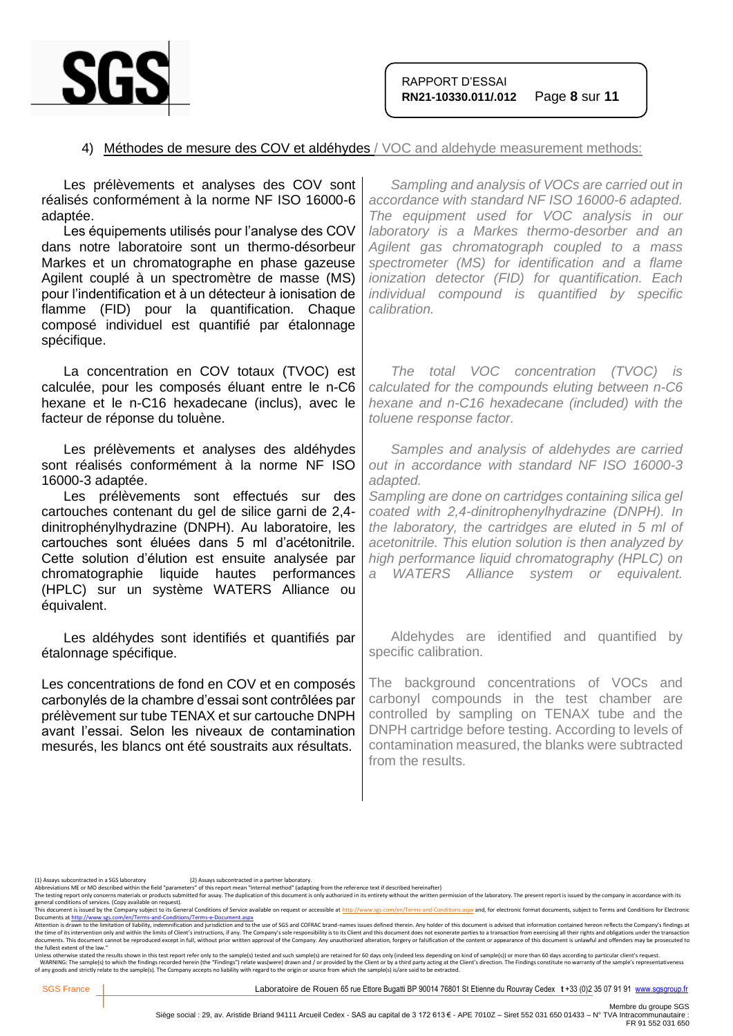

#### 4) Méthodes de mesure des COV et aldéhydes / VOC and aldehyde measurement methods:

| Sampling and analysis of VOCs are carried out in<br>accordance with standard NF ISO 16000-6 adapted.<br>The equipment used for VOC analysis in our<br>laboratory is a Markes thermo-desorber and an<br>Agilent gas chromatograph coupled to a mass<br>spectrometer (MS) for identification and a flame<br>ionization detector (FID) for quantification. Each<br>individual compound is quantified by specific<br>calibration.                    |
|--------------------------------------------------------------------------------------------------------------------------------------------------------------------------------------------------------------------------------------------------------------------------------------------------------------------------------------------------------------------------------------------------------------------------------------------------|
| The total VOC concentration (TVOC) is<br>calculated for the compounds eluting between n-C6<br>hexane and n-C16 hexadecane (included) with the<br>toluene response factor.                                                                                                                                                                                                                                                                        |
| Samples and analysis of aldehydes are carried<br>out in accordance with standard NF ISO 16000-3<br>adapted.<br>Sampling are done on cartridges containing silica gel<br>coated with 2,4-dinitrophenylhydrazine (DNPH). In<br>the laboratory, the cartridges are eluted in 5 ml of<br>acetonitrile. This elution solution is then analyzed by<br>high performance liquid chromatography (HPLC) on<br>WATERS Alliance system or equivalent.<br>a - |
| Aldehydes are identified and quantified by<br>specific calibration.                                                                                                                                                                                                                                                                                                                                                                              |
| The background concentrations of VOCs and<br>carbonyl compounds in the test chamber are<br>controlled by sampling on TENAX tube and the<br>DNPH cartridge before testing. According to levels of<br>contamination measured, the blanks were subtracted<br>from the results.                                                                                                                                                                      |
|                                                                                                                                                                                                                                                                                                                                                                                                                                                  |

general conditions of services. (Copy available on request).<br>This documents a fister of the Company subject to the Company subject to the Gompany subject to the School of<br>Documents at <u>http://www.ses.com/en/Terms-and-Condi</u> the fullest extent of the law."

Unless otherwise stated the results shown in this test report refer only to the sample(s) tested and such sample(s) are retained for 60 days only (indeed less depending on kind of sample(s)) or more than 60 days according

<sup>(1)</sup> Assays subcontracted in a SGS laboratory (2) Assays subcontracted in a partner laboratory.<br>Abbreviations ME or MO described within the field "parameters" of this report mean "Internal method" (adapting from the referen

Abbrevations ML or MU described with the held "parameters" of this report mean "internal methor" ledapting from the reference text if elescibed meremalter) without the written permistion of the laboratory. The present repo

Membre du groupe SGS<br>Siège social : 29, av. Aristide Briand 94111 Arcueil Cedex - SAS au capital de 3 172 613 € - APE 7010Z – Siret 552 031 650 01433 – N° TVA Intracommunautaire :<br>FR 91 552 031 650 FR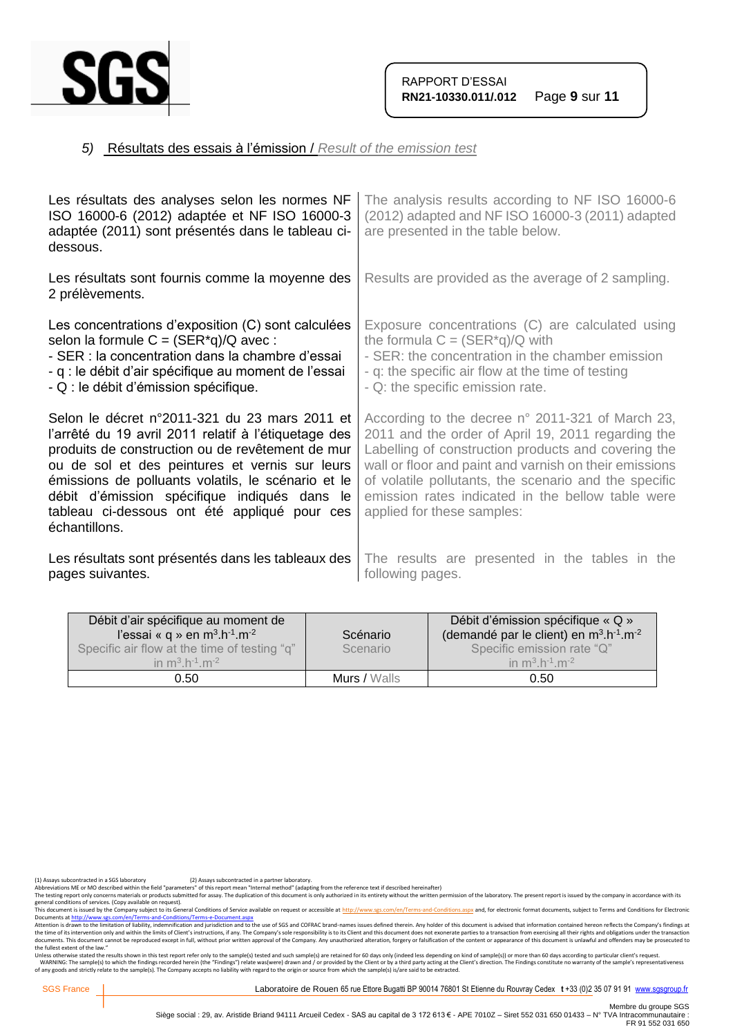

## *5)* Résultats des essais à l'émission / *Result of the emission test*

| Les résultats des analyses selon les normes NF<br>ISO 16000-6 (2012) adaptée et NF ISO 16000-3<br>adaptée (2011) sont présentés dans le tableau ci-<br>dessous.                                                                                                                                                                                                                    | The analysis results according to NF ISO 16000-6<br>(2012) adapted and NF ISO 16000-3 (2011) adapted<br>are presented in the table below.                                                                                                                                                                                                                           |
|------------------------------------------------------------------------------------------------------------------------------------------------------------------------------------------------------------------------------------------------------------------------------------------------------------------------------------------------------------------------------------|---------------------------------------------------------------------------------------------------------------------------------------------------------------------------------------------------------------------------------------------------------------------------------------------------------------------------------------------------------------------|
| Les résultats sont fournis comme la moyenne des<br>2 prélèvements.                                                                                                                                                                                                                                                                                                                 | Results are provided as the average of 2 sampling.                                                                                                                                                                                                                                                                                                                  |
| Les concentrations d'exposition (C) sont calculées<br>selon la formule $C = (SER^*q)/Q$ avec:<br>- SER : la concentration dans la chambre d'essai<br>- q : le débit d'air spécifique au moment de l'essai<br>- Q : le débit d'émission spécifique.                                                                                                                                 | Exposure concentrations (C) are calculated using<br>the formula $C = (SER^*q)/Q$ with<br>- SER: the concentration in the chamber emission<br>- q: the specific air flow at the time of testing<br>- Q: the specific emission rate.                                                                                                                                  |
| Selon le décret n°2011-321 du 23 mars 2011 et<br>l'arrêté du 19 avril 2011 relatif à l'étiquetage des<br>produits de construction ou de revêtement de mur<br>ou de sol et des peintures et vernis sur leurs<br>émissions de polluants volatils, le scénario et le<br>débit d'émission spécifique indiqués dans le<br>tableau ci-dessous ont été appliqué pour ces<br>échantillons. | According to the decree n° 2011-321 of March 23,<br>2011 and the order of April 19, 2011 regarding the<br>Labelling of construction products and covering the<br>wall or floor and paint and varnish on their emissions<br>of volatile pollutants, the scenario and the specific<br>emission rates indicated in the bellow table were<br>applied for these samples: |
| Les résultats sont présentés dans les tableaux des<br>pages suivantes.                                                                                                                                                                                                                                                                                                             | The results are presented in the tables in the<br>following pages.                                                                                                                                                                                                                                                                                                  |

| Débit d'air spécifique au moment de<br>l'essai « q » en $m^3.h^{-1}.m^{-2}$<br>Specific air flow at the time of testing "q"<br>in $m^3 h^{-1} m^{-2}$ | Scénario<br>Scenario | Débit d'émission spécifique « Q »<br>(demandé par le client) en $m^3 \cdot h^{-1} \cdot m^{-2}$<br>Specific emission rate "Q"<br>in $m^3 h^{-1} m^{-2}$ |
|-------------------------------------------------------------------------------------------------------------------------------------------------------|----------------------|---------------------------------------------------------------------------------------------------------------------------------------------------------|
| 0.50                                                                                                                                                  | Murs / Walls         | 0.50                                                                                                                                                    |

(1) Assays subcontracted in a SGS laboratory (2) Assays subcontracted in a partner laboratory.<br>Abbreviations ME or MO described within the field "parameters" of this report mean "Internal method" (adapting from the referen

Abbrevations ML or MU described with the held "parameters" of this report mean "internal methor" ledapting from the reference text if elescibed meremalter) without the written permistion of the laboratory. The present repo

general conditions of services. (Copy available on request).<br>This documents a fister of the Company subject to the Company subject to the Gompany subject to the School of<br>Documents at <u>http://www.ses.com/en/Terms-and-Condi</u> the fullest extent of the law."

Unless otherwise stated the results shown in this test report refer only to the sample(s) tested and such sample(s) are retained for 60 days only (indeed less depending on kind of sample(s)) or more than 60 days according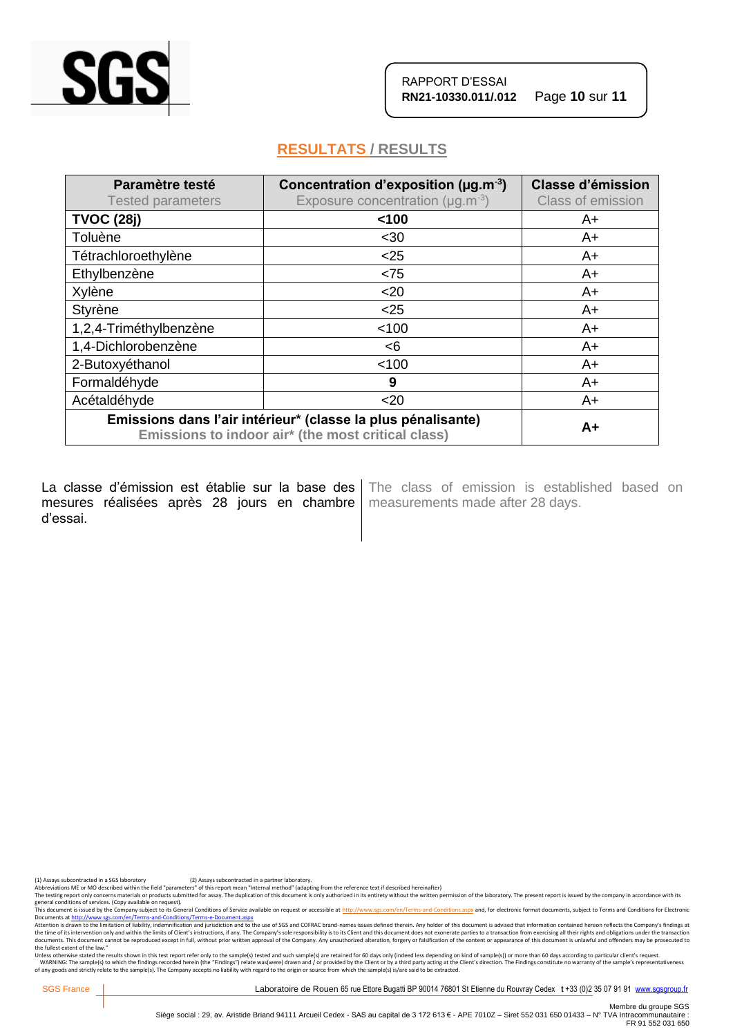

## **RESULTATS / RESULTS**

| Paramètre testé<br><b>Tested parameters</b>                                                                        | Concentration d'exposition ( $\mu$ g.m <sup>-3</sup> )<br>Exposure concentration ( $\mu$ g.m <sup>-3</sup> ) | <b>Classe d'émission</b><br>Class of emission |
|--------------------------------------------------------------------------------------------------------------------|--------------------------------------------------------------------------------------------------------------|-----------------------------------------------|
| <b>TVOC (28j)</b>                                                                                                  | 100                                                                                                          | A+                                            |
| Toluène                                                                                                            | $30$                                                                                                         | A+                                            |
| Tétrachloroethylène                                                                                                | $<$ 25                                                                                                       | $A+$                                          |
| Ethylbenzène                                                                                                       | < 75                                                                                                         | $A+$                                          |
| Xylène                                                                                                             | $20$                                                                                                         | A+                                            |
| Styrène                                                                                                            | $<$ 25                                                                                                       | A+                                            |
| 1,2,4-Triméthylbenzène                                                                                             | < 100                                                                                                        | A+                                            |
| 1,4-Dichlorobenzène                                                                                                | < 6                                                                                                          | A+                                            |
| 2-Butoxyéthanol                                                                                                    | < 100                                                                                                        | A+                                            |
| Formaldéhyde                                                                                                       | 9                                                                                                            | $A+$                                          |
| Acétaldéhyde                                                                                                       | $20$                                                                                                         | A+                                            |
| Emissions dans l'air intérieur* (classe la plus pénalisante)<br>Emissions to indoor air* (the most critical class) |                                                                                                              | $A+$                                          |

La classe d'émission est établie sur la base des mesures réalisées après 28 jours en chambre | measurements made after 28 days. d'essai.

The class of emission is established based on

(1) Assays subcontracted in a SGS laboratory (2) Assays subcontracted in a partner laboratory.<br>Abbreviations ME or MO described within the field "parameters" of this report mean "Internal method" (adapting from the referen

The testing report only concerns materials or products submitted for assay. The duplication of this document is only authorized in its entirety without the written permission of the laboratory. The present report is issued

general conditions of services. (Copy available on request).<br>This documents a fister of the Company subject to the Company subject to the Gompany subject to the School of<br>Documents at <u>http://www.ses.com/en/Terms-and-Condi</u> the fullest extent of the law."

Unless otherwise stated the results shown in this test report refer only to the sample(s) tested and such sample(s) are retained for 60 days only (indeed less depending on kind of sample(s)) or more than 60 days according